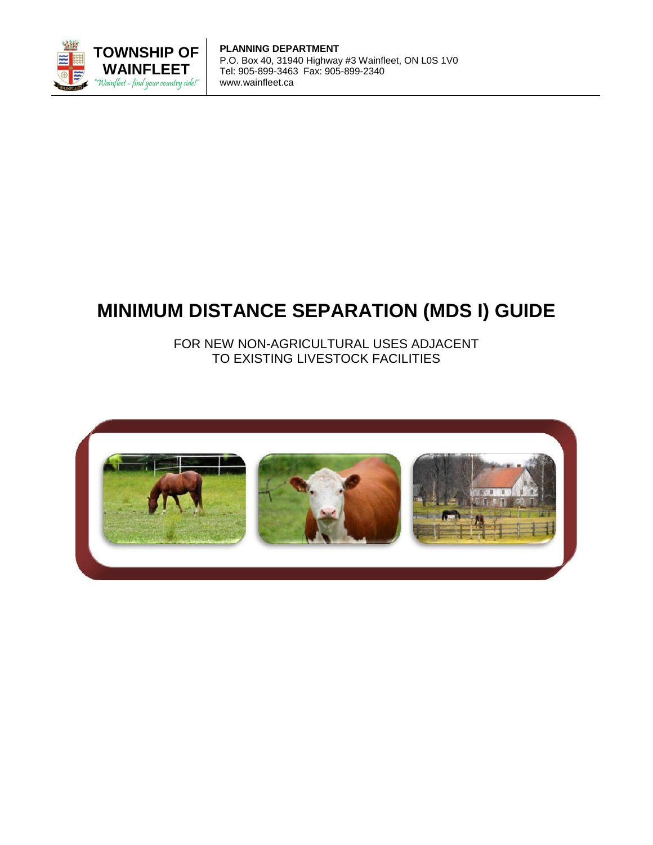

**PLANNING DEPARTMENT** P.O. Box 40, 31940 Highway #3 Wainfleet, ON L0S 1V0 Tel: 905-899-3463 Fax: 905-899-2340 www.wainfleet.ca

# **MINIMUM DISTANCE SEPARATION (MDS I) GUIDE**

FOR NEW NON-AGRICULTURAL USES ADJACENT TO EXISTING LIVESTOCK FACILITIES

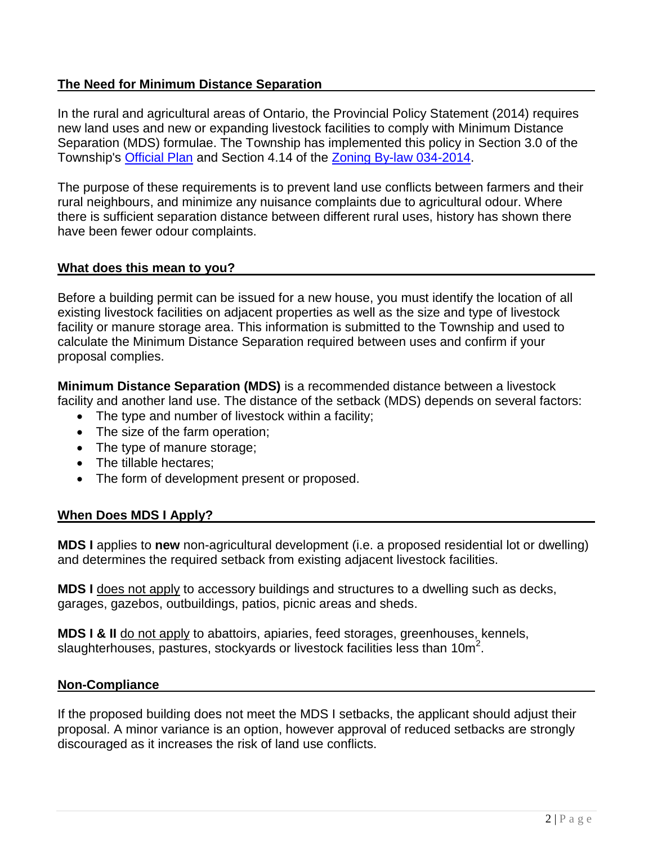## **The Need for Minimum Distance Separation**

In the rural and agricultural areas of Ontario, the Provincial Policy Statement (2014) requires new land uses and new or expanding livestock facilities to comply with Minimum Distance Separation (MDS) formulae. The Township has implemented this policy in Section 3.0 of the Township's [Official Plan](http://wainfleet.ca/official-plan) and Section 4.14 of the [Zoning By-law 034-2014.](http://wainfleet.ca/zoning-bylaw)

The purpose of these requirements is to prevent land use conflicts between farmers and their rural neighbours, and minimize any nuisance complaints due to agricultural odour. Where there is sufficient separation distance between different rural uses, history has shown there have been fewer odour complaints.

## **What does this mean to you?**

Before a building permit can be issued for a new house, you must identify the location of all existing livestock facilities on adjacent properties as well as the size and type of livestock facility or manure storage area. This information is submitted to the Township and used to calculate the Minimum Distance Separation required between uses and confirm if your proposal complies.

**Minimum Distance Separation (MDS)** is a recommended distance between a livestock facility and another land use. The distance of the setback (MDS) depends on several factors:

- The type and number of livestock within a facility;
- The size of the farm operation;
- The type of manure storage;
- The tillable hectares;
- The form of development present or proposed.

## **When Does MDS I Apply?**

**MDS I** applies to **new** non-agricultural development (i.e. a proposed residential lot or dwelling) and determines the required setback from existing adjacent livestock facilities.

**MDS I** does not apply to accessory buildings and structures to a dwelling such as decks, garages, gazebos, outbuildings, patios, picnic areas and sheds.

**MDS I & II** do not apply to abattoirs, apiaries, feed storages, greenhouses, kennels, slaughterhouses, pastures, stockyards or livestock facilities less than  $10m^2$ .

#### **Non-Compliance**

If the proposed building does not meet the MDS I setbacks, the applicant should adjust their proposal. A minor variance is an option, however approval of reduced setbacks are strongly discouraged as it increases the risk of land use conflicts.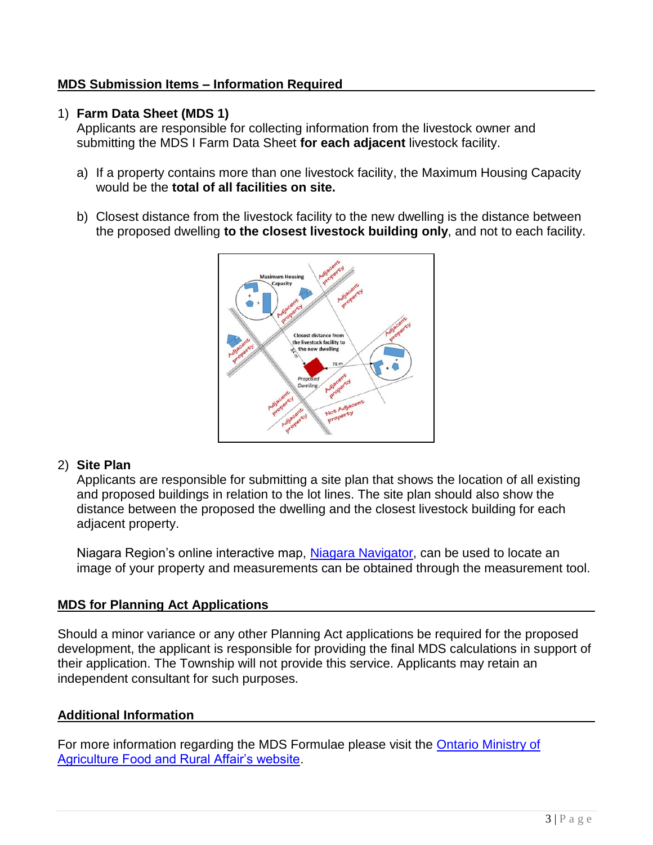## **MDS Submission Items – Information Required**

## 1) **Farm Data Sheet (MDS 1)**

Applicants are responsible for collecting information from the livestock owner and submitting the MDS I Farm Data Sheet **for each adjacent** livestock facility.

- a) If a property contains more than one livestock facility, the Maximum Housing Capacity would be the **total of all facilities on site.**
- b) Closest distance from the livestock facility to the new dwelling is the distance between the proposed dwelling **to the closest livestock building only**, and not to each facility.



## 2) **Site Plan**

Applicants are responsible for submitting a site plan that shows the location of all existing and proposed buildings in relation to the lot lines. The site plan should also show the distance between the proposed the dwelling and the closest livestock building for each adjacent property.

Niagara Region's online interactive map, [Niagara Navigator,](https://www.niagararegion.ca/exploring/navigator.aspx) can be used to locate an image of your property and measurements can be obtained through the measurement tool.

## **MDS for Planning Act Applications**

Should a minor variance or any other Planning Act applications be required for the proposed development, the applicant is responsible for providing the final MDS calculations in support of their application. The Township will not provide this service. Applicants may retain an independent consultant for such purposes.

## **Additional Information**

For more information regarding the MDS Formulae please visit the **Ontario Ministry of** [Agriculture Food and Rural Affair's website.](http://www.omafra.gov.on.ca/english/landuse/mds.htm)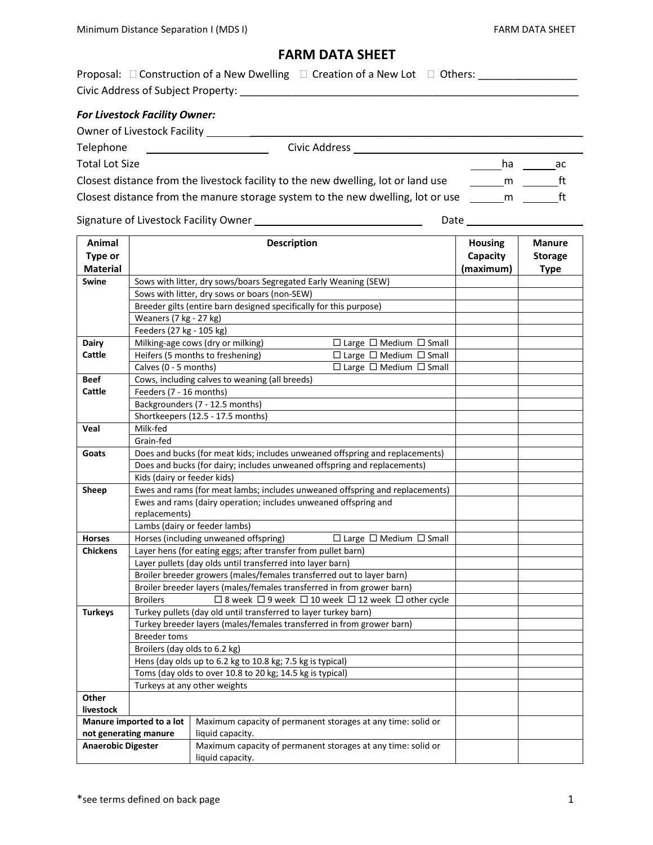## **FARM DATA SHEET**

| Proposal: $\Box$ Construction of a New Dwelling $\Box$ Creation of a New Lot $\Box$ Others: |  |  |  |  |  |  |  |
|---------------------------------------------------------------------------------------------|--|--|--|--|--|--|--|
| Civic Address of Subject Property:                                                          |  |  |  |  |  |  |  |
|                                                                                             |  |  |  |  |  |  |  |
| <b>For Livestock Facility Owner:</b>                                                        |  |  |  |  |  |  |  |

| Owner of Livestock Facility                                                       |               |          |    |
|-----------------------------------------------------------------------------------|---------------|----------|----|
| Telephone                                                                         | Civic Address |          |    |
| <b>Total Lot Size</b>                                                             |               | ha       | ac |
| Closest distance from the livestock facility to the new dwelling, lot or land use |               | <b>m</b> |    |
| Closest distance from the manure storage system to the new dwelling, lot or use   |               | m        |    |

Signature of Livestock Facility Owner Date \_\_\_

|  |  | Signature of Livestock Facility Owner |  |  |
|--|--|---------------------------------------|--|--|
|--|--|---------------------------------------|--|--|

| Animal                    | <b>Description</b>                                                                        |                                                                                                                               | <b>Housing</b> | Manure         |  |
|---------------------------|-------------------------------------------------------------------------------------------|-------------------------------------------------------------------------------------------------------------------------------|----------------|----------------|--|
| Type or                   |                                                                                           |                                                                                                                               | Capacity       | <b>Storage</b> |  |
| <b>Material</b>           |                                                                                           |                                                                                                                               | (maximum)      | <b>Type</b>    |  |
| <b>Swine</b>              |                                                                                           | Sows with litter, dry sows/boars Segregated Early Weaning (SEW)                                                               |                |                |  |
|                           |                                                                                           | Sows with litter, dry sows or boars (non-SEW)                                                                                 |                |                |  |
|                           |                                                                                           | Breeder gilts (entire barn designed specifically for this purpose)                                                            |                |                |  |
|                           | Weaners (7 kg - 27 kg)                                                                    |                                                                                                                               |                |                |  |
|                           | Feeders (27 kg - 105 kg)                                                                  |                                                                                                                               |                |                |  |
| <b>Dairy</b>              |                                                                                           | Milking-age cows (dry or milking)<br>$\Box$ Large $\Box$ Medium $\Box$ Small                                                  |                |                |  |
| Cattle                    |                                                                                           | Heifers (5 months to freshening)<br>$\Box$ Large $\Box$ Medium $\Box$ Small                                                   |                |                |  |
|                           | Calves (0 - 5 months)                                                                     | $\Box$ Large $\Box$ Medium $\Box$ Small                                                                                       |                |                |  |
| <b>Beef</b>               |                                                                                           | Cows, including calves to weaning (all breeds)                                                                                |                |                |  |
| Cattle                    | Feeders (7 - 16 months)                                                                   |                                                                                                                               |                |                |  |
|                           |                                                                                           | Backgrounders (7 - 12.5 months)                                                                                               |                |                |  |
|                           |                                                                                           | Shortkeepers (12.5 - 17.5 months)                                                                                             |                |                |  |
| Veal                      | Milk-fed                                                                                  |                                                                                                                               |                |                |  |
|                           | Grain-fed                                                                                 |                                                                                                                               |                |                |  |
| Goats                     |                                                                                           | Does and bucks (for meat kids; includes unweaned offspring and replacements)                                                  |                |                |  |
|                           |                                                                                           | Does and bucks (for dairy; includes unweaned offspring and replacements)                                                      |                |                |  |
|                           | Kids (dairy or feeder kids)                                                               |                                                                                                                               |                |                |  |
| Sheep                     |                                                                                           | Ewes and rams (for meat lambs; includes unweaned offspring and replacements)                                                  |                |                |  |
|                           |                                                                                           | Ewes and rams (dairy operation; includes unweaned offspring and                                                               |                |                |  |
|                           | replacements)                                                                             |                                                                                                                               |                |                |  |
|                           |                                                                                           | Lambs (dairy or feeder lambs)                                                                                                 |                |                |  |
| <b>Horses</b>             | Horses (including unweaned offspring)<br>$\Box$ Large $\Box$ Medium $\Box$ Small          |                                                                                                                               |                |                |  |
| <b>Chickens</b>           |                                                                                           | Layer hens (for eating eggs; after transfer from pullet barn)                                                                 |                |                |  |
|                           |                                                                                           | Layer pullets (day olds until transferred into layer barn)                                                                    |                |                |  |
|                           |                                                                                           | Broiler breeder growers (males/females transferred out to layer barn)                                                         |                |                |  |
|                           | <b>Broilers</b>                                                                           | Broiler breeder layers (males/females transferred in from grower barn)<br>□ 8 week □ 9 week □ 10 week □ 12 week □ other cycle |                |                |  |
|                           |                                                                                           | Turkey pullets (day old until transferred to layer turkey barn)                                                               |                |                |  |
| <b>Turkeys</b>            |                                                                                           | Turkey breeder layers (males/females transferred in from grower barn)                                                         |                |                |  |
|                           | <b>Breeder toms</b>                                                                       |                                                                                                                               |                |                |  |
|                           | Broilers (day olds to 6.2 kg)                                                             |                                                                                                                               |                |                |  |
|                           |                                                                                           | Hens (day olds up to 6.2 kg to 10.8 kg; 7.5 kg is typical)                                                                    |                |                |  |
|                           |                                                                                           |                                                                                                                               |                |                |  |
|                           | Toms (day olds to over 10.8 to 20 kg; 14.5 kg is typical)<br>Turkeys at any other weights |                                                                                                                               |                |                |  |
| Other                     |                                                                                           |                                                                                                                               |                |                |  |
| livestock                 |                                                                                           |                                                                                                                               |                |                |  |
|                           | Manure imported to a lot                                                                  | Maximum capacity of permanent storages at any time: solid or                                                                  |                |                |  |
|                           | not generating manure                                                                     | liquid capacity.                                                                                                              |                |                |  |
| <b>Anaerobic Digester</b> |                                                                                           | Maximum capacity of permanent storages at any time: solid or                                                                  |                |                |  |
|                           |                                                                                           | liquid capacity.                                                                                                              |                |                |  |